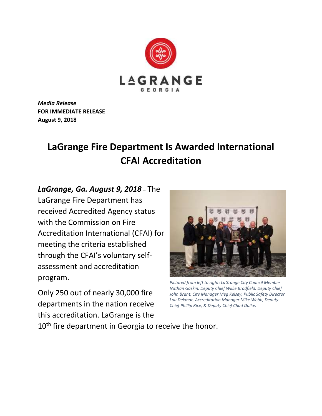

*Media Release* **FOR IMMEDIATE RELEASE August 9, 2018**

## **LaGrange Fire Department Is Awarded International CFAI Accreditation**

*LaGrange, Ga. August 9, 2018* – The LaGrange Fire Department has received Accredited Agency status with the Commission on Fire Accreditation International (CFAI) for meeting the criteria established through the CFAI's voluntary selfassessment and accreditation program.

Only 250 out of nearly 30,000 fire departments in the nation receive this accreditation. LaGrange is the



*Pictured from left to right: LaGrange City Council Member Nathan Gaskin, Deputy Chief Willie Bradfield, Deputy Chief John Brant, City Manager Meg Kelsey, Public Safety Director Lou Dekmar, Accreditation Manager Mike Webb, Deputy Chief Phillip Rice, & Deputy Chief Chad Dallas*

10<sup>th</sup> fire department in Georgia to receive the honor.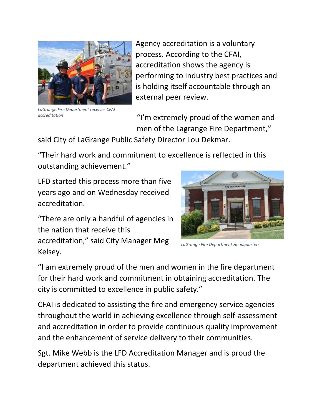

Agency accreditation is a voluntary process. According to the CFAI, accreditation shows the agency is performing to industry best practices and is holding itself accountable through an external peer review.

*LaGrange Fire Department receives CFAI accreditation*

"I'm extremely proud of the women and men of the Lagrange Fire Department,"

said City of LaGrange Public Safety Director Lou Dekmar.

"Their hard work and commitment to excellence is reflected in this outstanding achievement."

LFD started this process more than five years ago and on Wednesday received accreditation.

"There are only a handful of agencies in the nation that receive this accreditation," said City Manager Meg Kelsey.

*LaGrange Fire Department Headquarters*

"I am extremely proud of the men and women in the fire department for their hard work and commitment in obtaining accreditation. The city is committed to excellence in public safety."

CFAI is dedicated to assisting the fire and emergency service agencies throughout the world in achieving excellence through self-assessment and accreditation in order to provide continuous quality improvement and the enhancement of service delivery to their communities.

Sgt. Mike Webb is the LFD Accreditation Manager and is proud the department achieved this status.